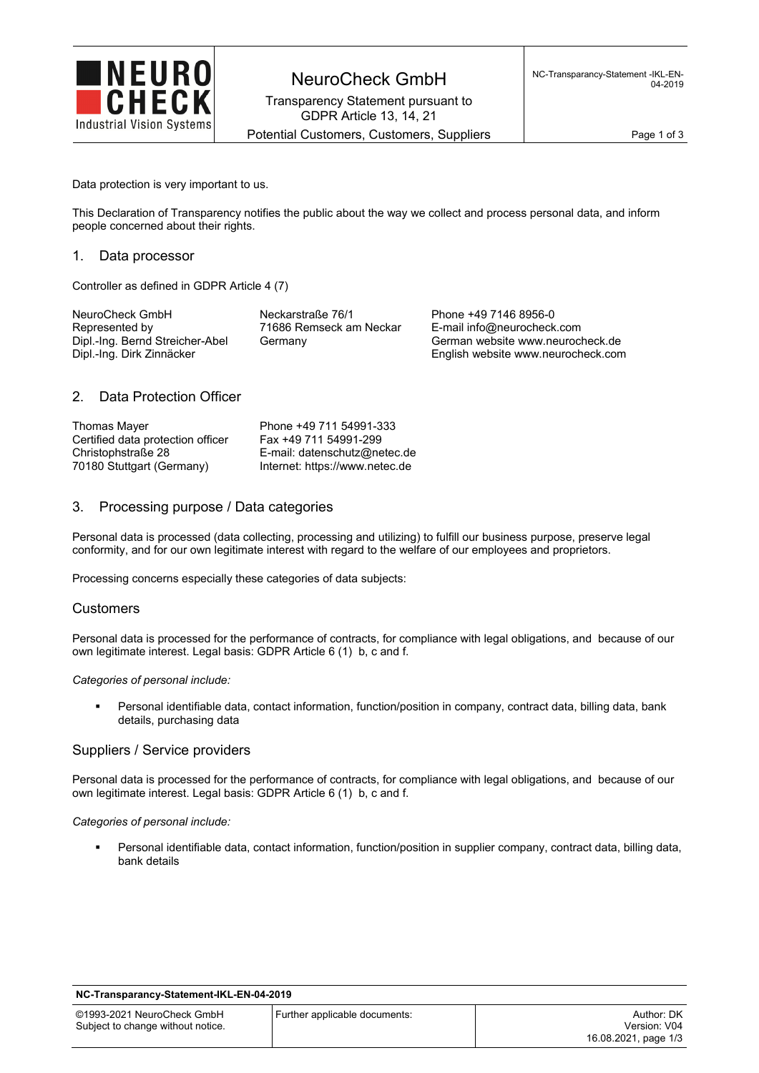

Transparency Statement pursuant to GDPR Article 13, 14, 21

Potential Customers, Customers, Suppliers Page 1 of 3

Data protection is very important to us.

This Declaration of Transparency notifies the public about the way we collect and process personal data, and inform people concerned about their rights.

## 1. Data processor

Controller as defined in GDPR Article 4 (7)

| NeuroCheck GmbH                                              | Neckarstraße 76/1       | Phone +49 7146 8956-0                                                  |
|--------------------------------------------------------------|-------------------------|------------------------------------------------------------------------|
| Represented by                                               | 71686 Remseck am Neckar | E-mail info@neurocheck.com                                             |
| Dipl.-Ing. Bernd Streicher-Abel<br>Dipl.-Ing. Dirk Zinnäcker | Germany                 | German website www.neurocheck.de<br>English website www.neurocheck.com |

## 2. Data Protection Officer

| Thomas Mayer                      | Phone +49 711 54991-333        |
|-----------------------------------|--------------------------------|
| Certified data protection officer | Fax +49 711 54991-299          |
| Christophstraße 28                | E-mail: datenschutz@netec.de   |
| 70180 Stuttgart (Germany)         | Internet: https://www.netec.de |

## 3. Processing purpose / Data categories

Personal data is processed (data collecting, processing and utilizing) to fulfill our business purpose, preserve legal conformity, and for our own legitimate interest with regard to the welfare of our employees and proprietors.

Processing concerns especially these categories of data subjects:

### **Customers**

Personal data is processed for the performance of contracts, for compliance with legal obligations, and because of our own legitimate interest. Legal basis: GDPR Article 6 (1) b, c and f.

#### *Categories of personal include:*

 Personal identifiable data, contact information, function/position in company, contract data, billing data, bank details, purchasing data

### Suppliers / Service providers

Personal data is processed for the performance of contracts, for compliance with legal obligations, and because of our own legitimate interest. Legal basis: GDPR Article 6 (1) b, c and f.

#### *Categories of personal include:*

 Personal identifiable data, contact information, function/position in supplier company, contract data, billing data, bank details

#### **NC-Transparancy-Statement-IKL-EN-04-2019**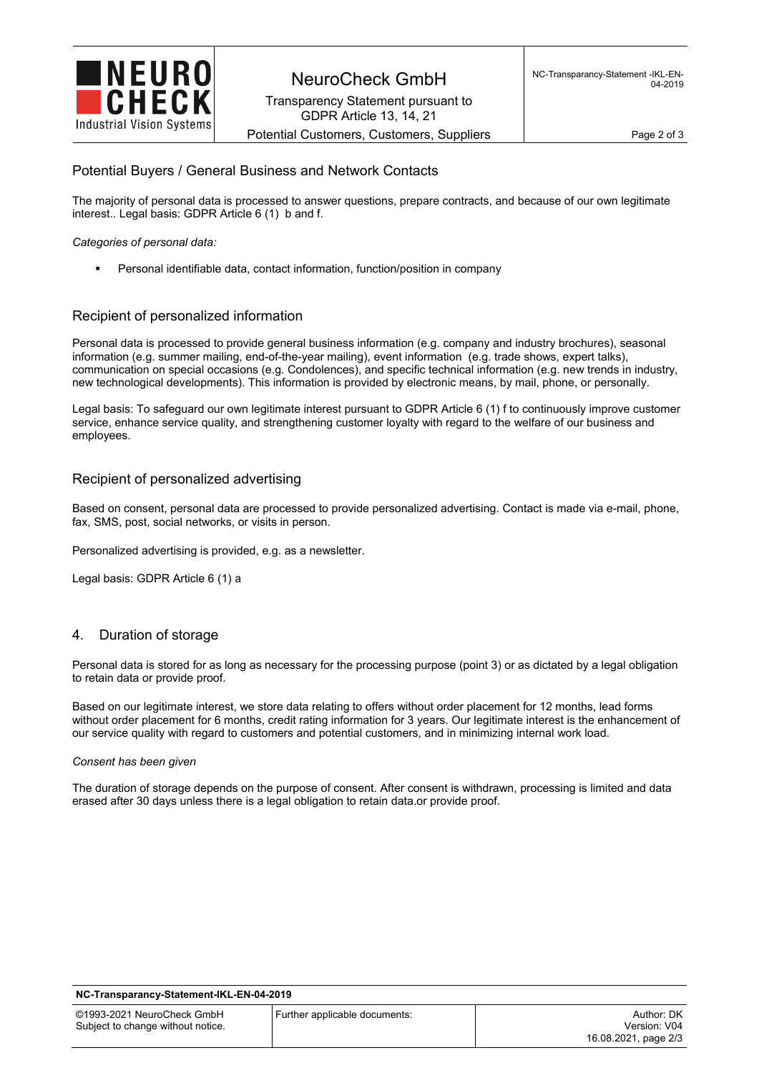

Transparency Statement pursuant to GDPR Article 13, 14, 21

Potential Customers, Customers, Suppliers Page 2 of 3

# Potential Buyers / General Business and Network Contacts

The majority of personal data is processed to answer questions, prepare contracts, and because of our own legitimate interest.. Legal basis: GDPR Article 6 (1) b and f.

*Categories of personal data:* 

Personal identifiable data, contact information, function/position in company

# Recipient of personalized information

Personal data is processed to provide general business information (e.g. company and industry brochures), seasonal information (e.g. summer mailing, end-of-the-year mailing), event information (e.g. trade shows, expert talks), communication on special occasions (e.g. Condolences), and specific technical information (e.g. new trends in industry, new technological developments). This information is provided by electronic means, by mail, phone, or personally.

Legal basis: To safeguard our own legitimate interest pursuant to GDPR Article 6 (1) f to continuously improve customer service, enhance service quality, and strengthening customer loyalty with regard to the welfare of our business and employees.

# Recipient of personalized advertising

Based on consent, personal data are processed to provide personalized advertising. Contact is made via e-mail, phone, fax, SMS, post, social networks, or visits in person.

Personalized advertising is provided, e.g. as a newsletter.

Legal basis: GDPR Article 6 (1) a

# 4. Duration of storage

Personal data is stored for as long as necessary for the processing purpose (point 3) or as dictated by a legal obligation to retain data or provide proof.

Based on our legitimate interest, we store data relating to offers without order placement for 12 months, lead forms without order placement for 6 months, credit rating information for 3 years. Our legitimate interest is the enhancement of our service quality with regard to customers and potential customers, and in minimizing internal work load.

#### *Consent has been given*

The duration of storage depends on the purpose of consent. After consent is withdrawn, processing is limited and data erased after 30 days unless there is a legal obligation to retain data.or provide proof.

| NC-Transparancy-Statement-IKL-EN-04-2019                        |                               |                                                    |  |  |
|-----------------------------------------------------------------|-------------------------------|----------------------------------------------------|--|--|
| ©1993-2021 NeuroCheck GmbH<br>Subject to change without notice. | Further applicable documents: | Author: DK<br>Version: V04<br>16.08.2021, page 2/3 |  |  |